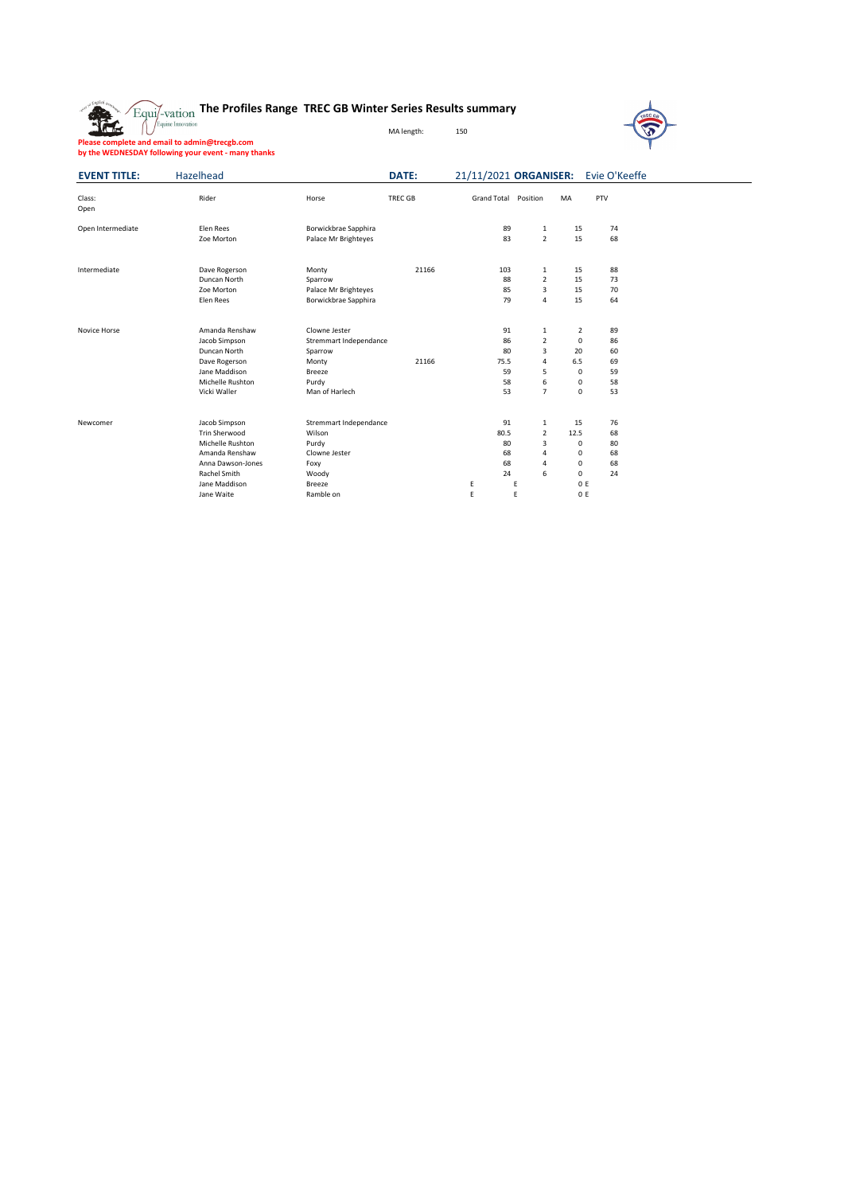



**Please complete and email to admin@trecgb.com by the WEDNESDAY following your event - many thanks**

| <b>EVENT TITLE:</b> | Hazelhead            |                        | <b>DATE:</b>   |                    |      |                |                | 21/11/2021 ORGANISER: Evie O'Keeffe |  |
|---------------------|----------------------|------------------------|----------------|--------------------|------|----------------|----------------|-------------------------------------|--|
| Class:<br>Open      | Rider                | Horse                  | <b>TREC GB</b> | <b>Grand Total</b> |      | Position       | MA             | PTV                                 |  |
| Open Intermediate   | Elen Rees            | Borwickbrae Sapphira   |                |                    | 89   | $\mathbf{1}$   | 15             | 74                                  |  |
|                     | Zoe Morton           | Palace Mr Brighteyes   |                |                    | 83   | $\overline{2}$ | 15             | 68                                  |  |
| Intermediate        | Dave Rogerson        | Monty                  | 21166          |                    | 103  | $\mathbf{1}$   | 15             | 88                                  |  |
|                     | Duncan North         | Sparrow                |                |                    | 88   | $\overline{2}$ | 15             | 73                                  |  |
|                     | Zoe Morton           | Palace Mr Brighteyes   |                |                    | 85   | 3              | 15             | 70                                  |  |
|                     | Elen Rees            | Borwickbrae Sapphira   |                |                    | 79   | 4              | 15             | 64                                  |  |
| <b>Novice Horse</b> | Amanda Renshaw       | Clowne Jester          |                |                    | 91   | $\mathbf{1}$   | $\overline{2}$ | 89                                  |  |
|                     | Jacob Simpson        | Stremmart Independance |                |                    | 86   | $\overline{2}$ | $\mathbf 0$    | 86                                  |  |
|                     | Duncan North         | Sparrow                |                |                    | 80   | $\overline{3}$ | 20             | 60                                  |  |
|                     | Dave Rogerson        | Monty                  | 21166          |                    | 75.5 | 4              | 6.5            | 69                                  |  |
|                     | Jane Maddison        | <b>Breeze</b>          |                |                    | 59   | 5              | 0              | 59                                  |  |
|                     | Michelle Rushton     | Purdy                  |                |                    | 58   | 6              | 0              | 58                                  |  |
|                     | Vicki Waller         | Man of Harlech         |                |                    | 53   | $\overline{7}$ | 0              | 53                                  |  |
| Newcomer            | Jacob Simpson        | Stremmart Independance |                |                    | 91   | $\mathbf{1}$   | 15             | 76                                  |  |
|                     | <b>Trin Sherwood</b> | Wilson                 |                |                    | 80.5 | $\overline{2}$ | 12.5           | 68                                  |  |
|                     | Michelle Rushton     | Purdy                  |                |                    | 80   | 3              | 0              | 80                                  |  |
|                     | Amanda Renshaw       | Clowne Jester          |                |                    | 68   | 4              | 0              | 68                                  |  |
|                     | Anna Dawson-Jones    | Foxy                   |                |                    | 68   | 4              | 0              | 68                                  |  |
|                     | Rachel Smith         | Woody                  |                |                    | 24   | 6              | $\mathbf 0$    | 24                                  |  |
|                     | Jane Maddison        | <b>Breeze</b>          |                | E                  | E    |                | 0 E            |                                     |  |
|                     | Jane Waite           | Ramble on              |                | E                  | E    |                | 0 E            |                                     |  |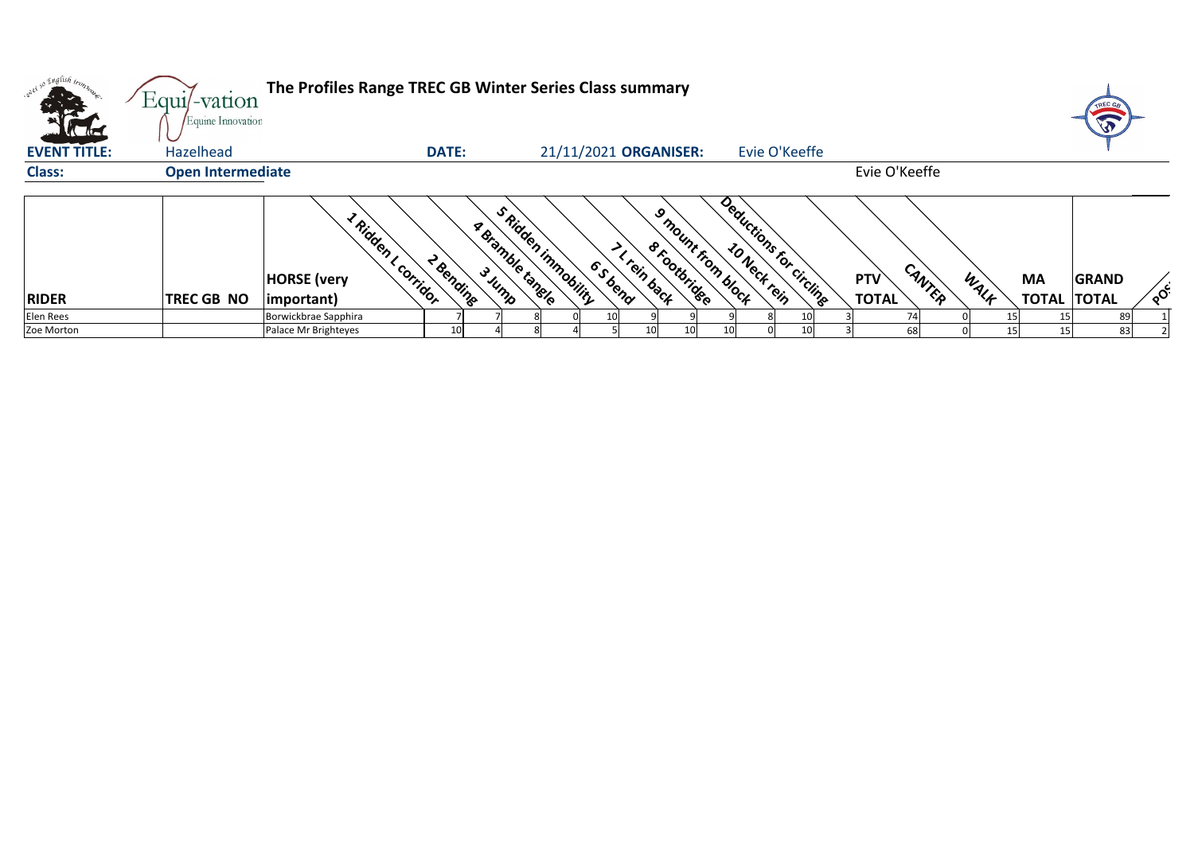| onel so English in                     | $Equi$ -vation                 | The Profiles Range TREC GB Winter Series Class summary                           |              |                  |                                       |                                                                |                   |                         |                            |        |      |                                 |              |        |
|----------------------------------------|--------------------------------|----------------------------------------------------------------------------------|--------------|------------------|---------------------------------------|----------------------------------------------------------------|-------------------|-------------------------|----------------------------|--------|------|---------------------------------|--------------|--------|
| <b>Victoria</b><br><b>EVENT TITLE:</b> | Equine Innovation<br>Hazelhead |                                                                                  | <b>DATE:</b> |                  | 21/11/2021 ORGANISER:                 |                                                                |                   | Evie O'Keeffe           |                            |        |      |                                 |              |        |
| <b>Class:</b>                          | <b>Open Intermediate</b>       |                                                                                  |              |                  |                                       |                                                                |                   |                         | Evie O'Keeffe              |        |      |                                 |              |        |
| <b>RIDER</b>                           | TREC GB NO                     | <sup>L Ridden</sup> I<br>L Corridor<br><b>HORSE</b> (very<br>$ important\rangle$ | 2 Bending    | a Bramble tanele | S Ridden immobility<br><b>6</b> Sbend | $\mathcal{S}_{\text{c}}$<br><b>8 Footbridge</b><br>< rein back | Imount from block | Deductions for circling | <b>PTV</b><br><b>TOTAL</b> | CANTER | WALK | <b>MA</b><br><b>TOTAL TOTAL</b> | <b>GRAND</b> | $\sim$ |
| Elen Rees                              |                                | Borwickbrae Sapphira                                                             |              |                  |                                       |                                                                |                   |                         |                            | 74     | 15   |                                 | 89           |        |
| Zoe Morton                             |                                | Palace Mr Brighteyes                                                             | 10I          |                  |                                       |                                                                | 10I               |                         |                            | 68     |      | 15I                             | 83           |        |



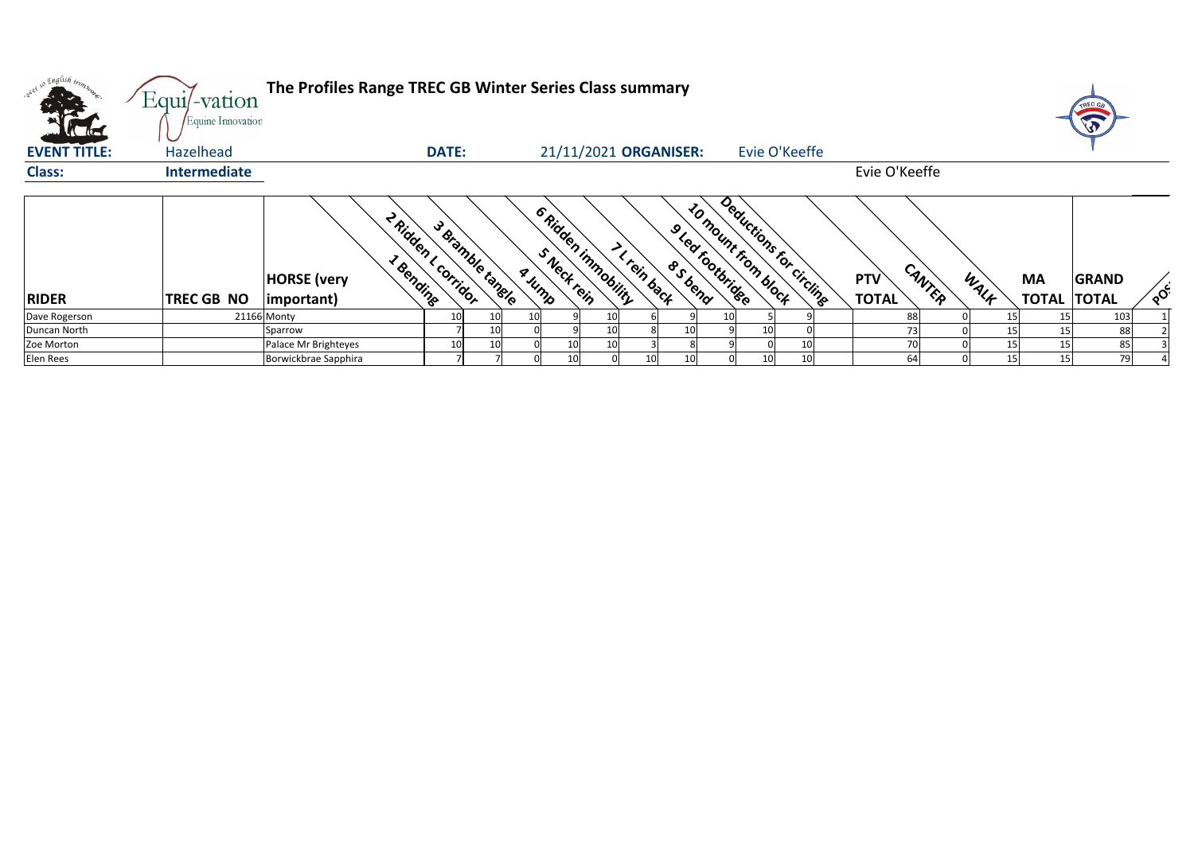| <b>Catalogue</b>    | Equi/-vation<br>Equine Innovation | The Profiles Range TREC GB Winter Series Class summary |                                        |     |                                              |                       |             |                                             |                            |                 |                         |                            |        |      |                                 | TREC GB<br>T |        |
|---------------------|-----------------------------------|--------------------------------------------------------|----------------------------------------|-----|----------------------------------------------|-----------------------|-------------|---------------------------------------------|----------------------------|-----------------|-------------------------|----------------------------|--------|------|---------------------------------|--------------|--------|
| <b>EVENT TITLE:</b> | Hazelhead                         |                                                        | <b>DATE:</b>                           |     |                                              | 21/11/2021 ORGANISER: |             |                                             |                            |                 | Evie O'Keeffe           |                            |        |      |                                 |              |        |
| <b>Class:</b>       | <b>Intermediate</b>               |                                                        |                                        |     |                                              |                       |             |                                             |                            |                 |                         | Evie O'Keeffe              |        |      |                                 |              |        |
| <b>RIDER</b>        | TREC GB NO                        | 1 Bending<br><b>HORSE</b> (very<br>$ important\rangle$ | 2 Ridden Lcorridor<br>3 Bramble tangle |     | 6 Ridden inmobility<br>S Neck rein<br>A JUMP |                       | I rein back | 9 Leafootbridge<br><b><sup>o</sup>Sbend</b> | <b>ZO mount from block</b> |                 | Deductions for circling | <b>PTV</b><br><b>TOTAL</b> | CANTER | WALK | <b>MA</b><br><b>TOTAL TOTAL</b> | <b>GRAND</b> | $\sim$ |
| Dave Rogerson       |                                   | 21166 Monty                                            |                                        | 10I | 10                                           |                       |             |                                             | 10 <sup>1</sup>            |                 |                         |                            | 88     |      | 15                              | 103          |        |
| Duncan North        |                                   | Sparrow                                                |                                        | 10I |                                              |                       |             | 10                                          |                            | 10 <sub>l</sub> |                         |                            | 73     |      |                                 | 88           |        |
| Zoe Morton          |                                   | Palace Mr Brighteyes                                   | 10                                     | 10I |                                              | 10                    |             |                                             |                            |                 |                         |                            | 70     |      | 15                              | 85           |        |
| Elen Rees           |                                   | Borwickbrae Sapphira                                   |                                        |     |                                              | 10 <sub>l</sub>       |             | 10 <sub>l</sub>                             |                            | 10 <sup>1</sup> |                         |                            | 64     | 15   | 15                              | 79           |        |



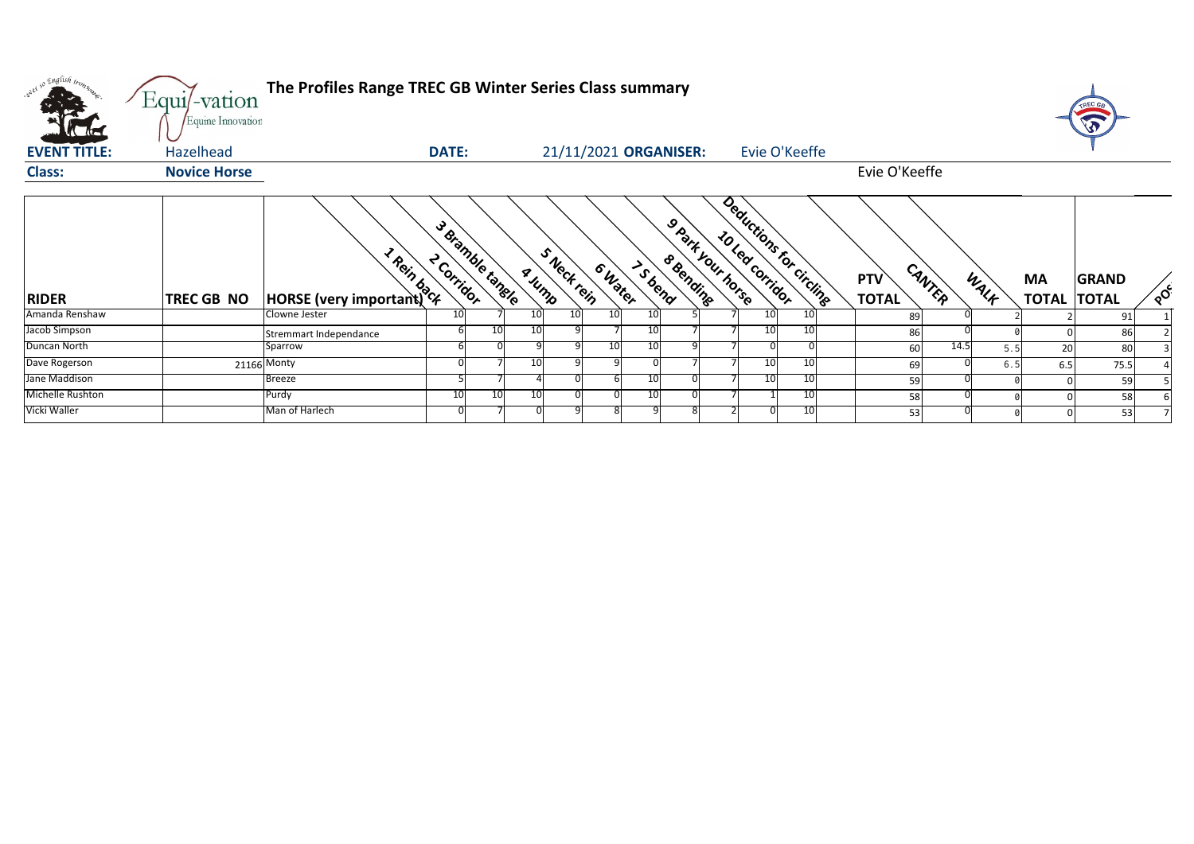

| so English iron         | Equi/-vation        | The Profiles Range TREC GB Winter Series Class summary |                                |               |                       |                 |                                      |                 |                          |                            |        |       |                                 |              |                           |
|-------------------------|---------------------|--------------------------------------------------------|--------------------------------|---------------|-----------------------|-----------------|--------------------------------------|-----------------|--------------------------|----------------------------|--------|-------|---------------------------------|--------------|---------------------------|
|                         | Equine Innovation   |                                                        |                                |               |                       |                 |                                      |                 |                          |                            |        |       |                                 |              |                           |
| <b>EVENT TITLE:</b>     | Hazelhead           |                                                        | <b>DATE:</b>                   |               | 21/11/2021 ORGANISER: |                 |                                      |                 | Evie O'Keeffe            |                            |        |       |                                 |              |                           |
| <b>Class:</b>           | <b>Novice Horse</b> |                                                        |                                |               |                       |                 |                                      |                 |                          | Evie O'Keeffe              |        |       |                                 |              |                           |
| <b>RIDER</b>            | TREC GB NO          | <b>Promission Contracts</b>                            | 3 Bramble tangle<br>2 Corrigor | <b>A</b> Jump | SNectrein<br>6 Water  | IS bend         | Spark your horse<br><b>8 Bending</b> | 10 Led Corridor | Deductions for circlinge | <b>PTV</b><br><b>TOTAL</b> | CANTER | WALK  | <b>MA</b><br><b>TOTAL TOTAL</b> | <b>GRAND</b> | $\mathbf{Q}^{\mathbf{C}}$ |
| Amanda Renshaw          |                     | Clowne Jester                                          | 10                             | 10            | 10<br>10              | 10 <sup>1</sup> |                                      | 10I             | 10                       | 89                         |        |       |                                 | 91           |                           |
| Jacob Simpson           |                     | Stremmart Independance                                 |                                | 10            |                       | 10              |                                      |                 | 10                       | 86                         |        |       |                                 | 86           |                           |
| Duncan North            |                     | Sparrow                                                |                                |               | 10                    | 10              |                                      |                 |                          | 60                         | 14.5   | 5.5   | 20                              | 80           |                           |
| Dave Rogerson           |                     | $21166$ Monty                                          |                                |               |                       |                 |                                      | 10I             | -10                      | 69                         |        | $6.5$ | 6.5                             | 75.5         |                           |
| Jane Maddison           |                     | <b>Breeze</b>                                          |                                |               |                       | 10I             |                                      | 10I             | -10                      | 59                         |        |       |                                 | 59           |                           |
| <b>Michelle Rushton</b> |                     | Purdy                                                  | 10                             | 10<br>10      |                       | 10I             |                                      |                 | -10                      | 58                         |        |       |                                 | 58           |                           |
| Vicki Waller            |                     | Man of Harlech                                         |                                |               |                       |                 |                                      |                 |                          | 53                         |        |       |                                 | 53           |                           |



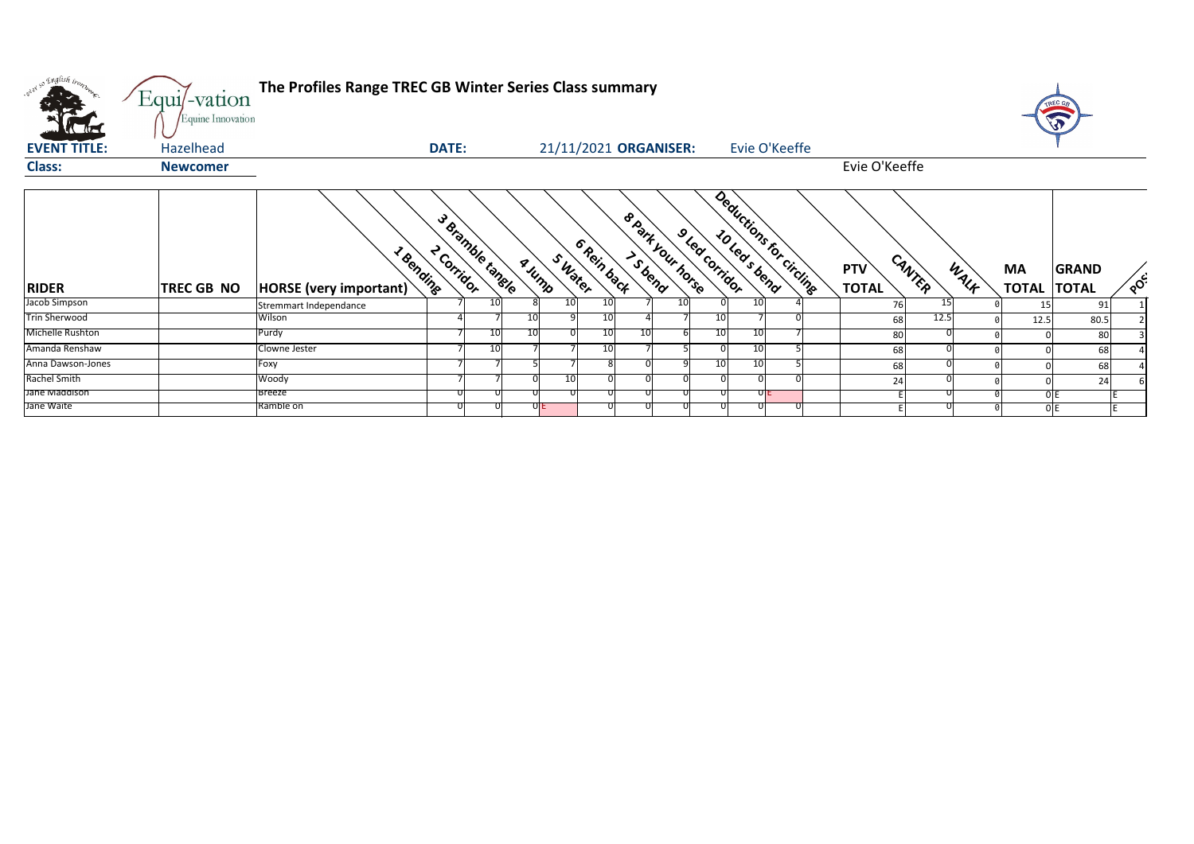| <b>EVENT TITLE:</b><br>21/11/2021 ORGANISER:<br>Evie O'Keeffe<br>Hazelhead<br><b>DATE:</b><br>Evie O'Keeffe<br><b>Class:</b><br><b>Newcomer</b>                                                                                                                 |                           |                              |     |
|-----------------------------------------------------------------------------------------------------------------------------------------------------------------------------------------------------------------------------------------------------------------|---------------------------|------------------------------|-----|
|                                                                                                                                                                                                                                                                 |                           |                              |     |
|                                                                                                                                                                                                                                                                 |                           |                              |     |
| Deductions for circling<br>8 Park your horse<br>3 Bramble tangle<br>9 led corridor<br>6 Rein back<br>2 Corridor<br>I Bending<br>SWater<br>CANTER<br>a Jump<br><b>PTV</b><br>WALK<br><b>TOTAL</b><br><b>RIDER</b><br>HORSE (very important)<br><b>TREC GB NO</b> | <b>MA</b><br><b>TOTAL</b> | <b>GRAND</b><br><b>TOTAL</b> | POC |
| Jacob Simpson<br>10<br>10<br>10<br>10I<br><b>10</b><br>15<br>76<br>Stremmart Independance                                                                                                                                                                       |                           | 91                           |     |
| <b>Trin Sherwood</b><br>Wilson<br><b>10</b><br>10<br>12.5<br>10I<br>68                                                                                                                                                                                          | 12.5                      | 80.5                         |     |
| Michelle Rushton<br>Purdy<br>10<br>10<br>10<br>10<br><b>10</b><br>10<br>80                                                                                                                                                                                      |                           | 80                           |     |
| Amanda Renshaw<br>Clowne Jester<br>10<br>10<br>10 <sup>1</sup><br>68                                                                                                                                                                                            |                           | 68                           |     |
| Anna Dawson-Jones<br>10<br>- 10 I<br>Foxy<br>68                                                                                                                                                                                                                 |                           | 68                           |     |
| Rachel Smith<br>10<br>Woody<br>24                                                                                                                                                                                                                               |                           | 24                           |     |
| Jane Maddison<br>Breeze<br>UIE                                                                                                                                                                                                                                  |                           | 0 E                          |     |
| Jane Waite<br>Ramble on<br>JIE                                                                                                                                                                                                                                  |                           | 0 E                          |     |

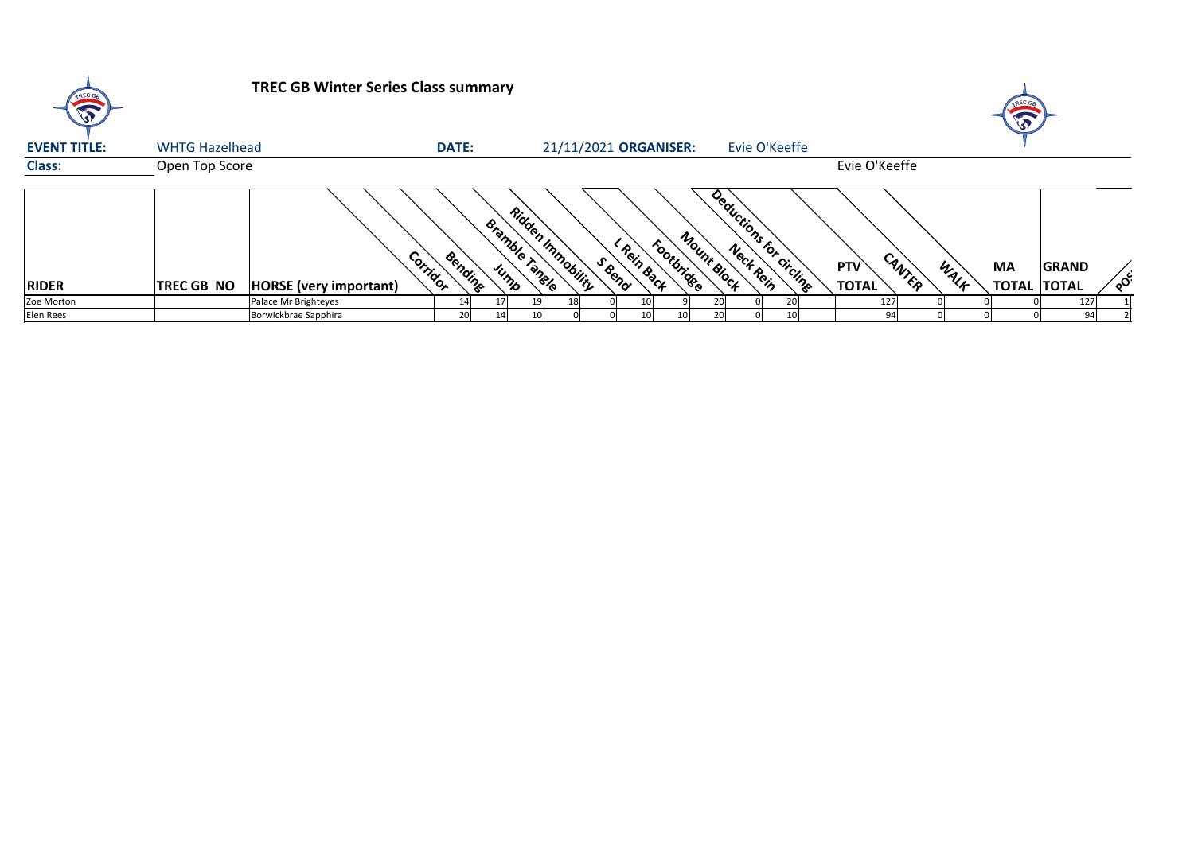

| <b>EVENT TITLE:</b> | <b>WHTG Hazelhead</b> |                               | <b>DATE:</b>        |                        | 21/11/2021 ORGANISER:                           |                          | Evie O'Keeffe            |                            |                |                                 |              |                            |
|---------------------|-----------------------|-------------------------------|---------------------|------------------------|-------------------------------------------------|--------------------------|--------------------------|----------------------------|----------------|---------------------------------|--------------|----------------------------|
| <b>Class:</b>       | Open Top Score        |                               |                     |                        |                                                 |                          |                          | Evie O'Keeffe              |                |                                 |              |                            |
| <b>RIDER</b>        | <b>TREC GB NO</b>     | <b>HORSE</b> (very important) | Corridor<br>Bending | Bramble Tangle<br>Jump | Ridden Immobility<br><b>Rein Back</b><br>S Rend | Mount Block<br>Footbride | Deductions for circlinge | <b>PTV</b><br><b>TOTAL</b> | CANTEP<br>WALK | <b>MA</b><br><b>TOTAL TOTAL</b> | <b>GRAND</b> | $\mathcal{S}^{\mathsf{C}}$ |
| Zoe Morton          |                       | Palace Mr Brighteyes          |                     | 17 I                   | 10                                              |                          |                          | 127                        |                |                                 | 127          |                            |
| Elen Rees           |                       | Borwickbrae Sapphira          |                     | 14 I                   | 10 <sup>1</sup>                                 |                          |                          | 94                         |                |                                 | 94           |                            |



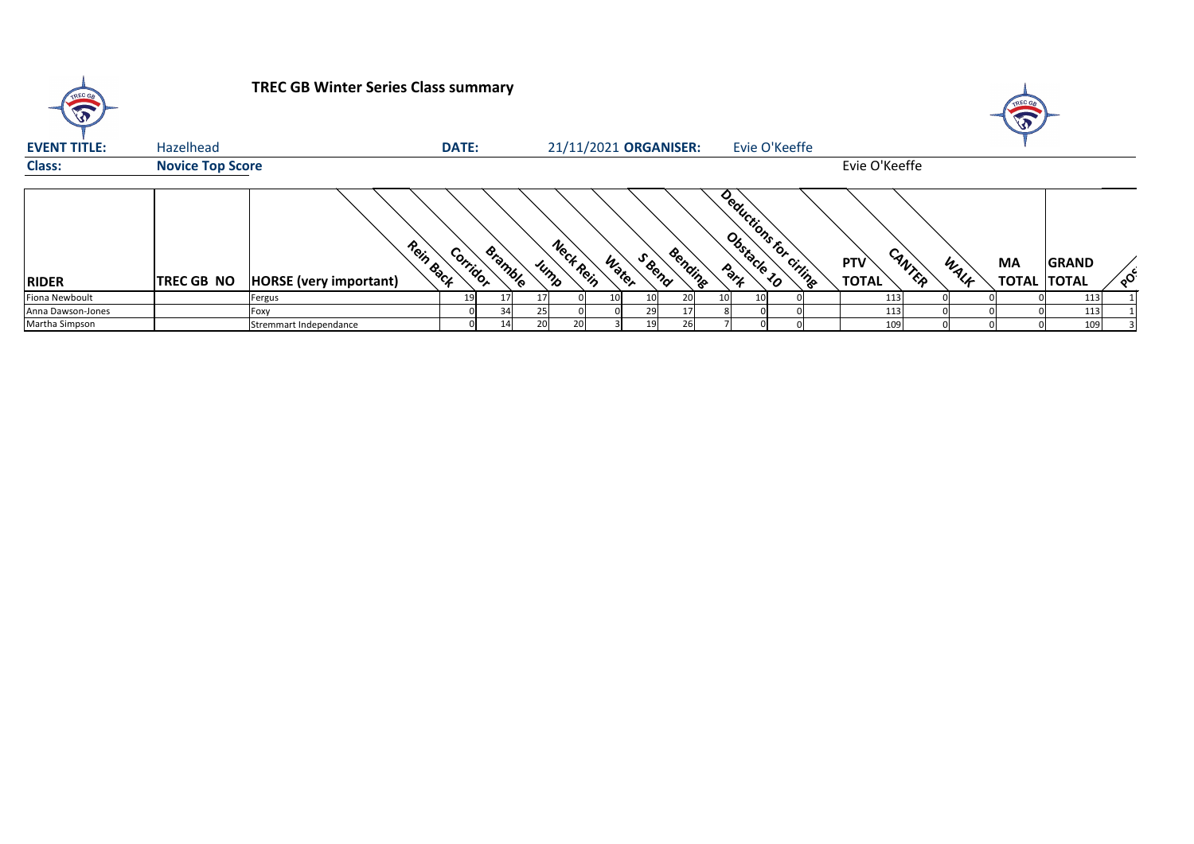| <b>EVENT TITLE:</b><br><b>Class:</b> | Hazelhead<br><b>Novice Top Score</b> |                               | <b>DATE:</b>          |          | 21/11/2021 ORGANISER: |                |         |                 | Evie O'Keeffe          | Evie O'Keeffe              |        |      |                                 |              |                           |
|--------------------------------------|--------------------------------------|-------------------------------|-----------------------|----------|-----------------------|----------------|---------|-----------------|------------------------|----------------------------|--------|------|---------------------------------|--------------|---------------------------|
| <b>RIDER</b>                         | <b>TREC GB NO</b>                    | <b>HORSE</b> (very important) | Rein Back<br>Corridor | Bramble  | Neck Rein<br>Jump     | Seepa<br>Water | Bending |                 | Deductions for ciringe | <b>PTV</b><br><b>TOTAL</b> | CANTER | WALF | <b>MA</b><br><b>TOTAL TOTAL</b> | <b>GRAND</b> | $\mathbf{o}^{\mathbf{C}}$ |
| Fiona Newboult                       |                                      | Fergus                        |                       |          |                       |                |         | 10 <sub>l</sub> |                        | 113                        |        |      |                                 | 113          |                           |
| Anna Dawson-Jones                    |                                      | Foxy                          |                       | 34<br>25 |                       | <b>29</b>      |         |                 |                        | <u> 113</u>                |        |      |                                 | 113          |                           |
| Martha Simpson                       |                                      | Stremmart Independance        |                       | 20<br>14 | 20                    |                |         |                 |                        | 109                        |        |      |                                 | 109          |                           |





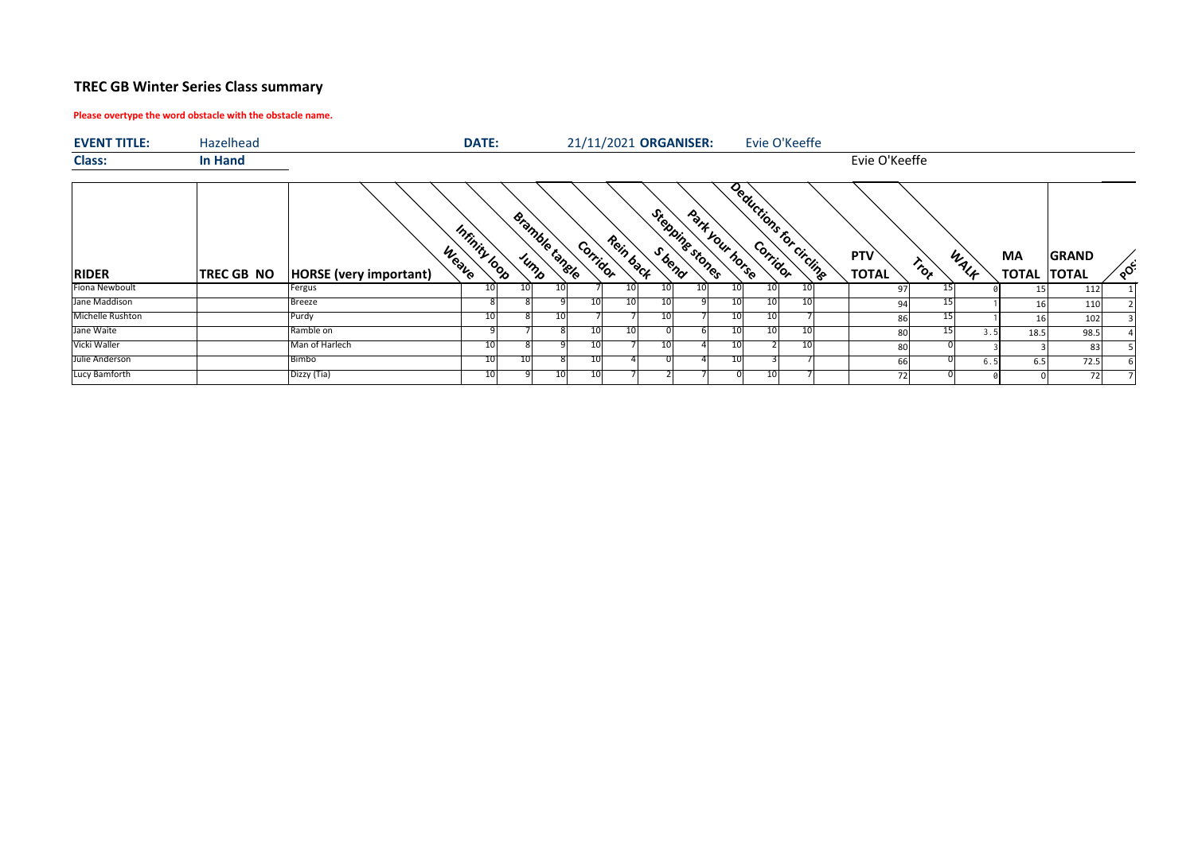### **Please overtype the word obstacle with the obstacle name.**



| <b>EVENT TITLE:</b> | Hazelhead         |                               | <b>DATE:</b>           |                        |    |          |           |                 | 21/11/2021 ORGANISER: |                 |                 | Evie O'Keeffe           |                     |                   |      |           |                                    |    |
|---------------------|-------------------|-------------------------------|------------------------|------------------------|----|----------|-----------|-----------------|-----------------------|-----------------|-----------------|-------------------------|---------------------|-------------------|------|-----------|------------------------------------|----|
| <b>Class:</b>       | <b>In Hand</b>    |                               |                        |                        |    |          |           |                 |                       |                 |                 |                         | Evie O'Keeffe       |                   |      |           |                                    |    |
| <b>RIDER</b>        | <b>TREC GB NO</b> | <b>HORSE</b> (very important) | Infinity loop<br>Weave | Bramble tangle<br>Jump |    | Corridor | Rein back |                 | Stepping stones       | Park Your horse |                 | Deductions for circling | PTV<br><b>TOTAL</b> | $r_{\tilde{o}_k}$ | WALF | <b>MA</b> | <b>GRAND</b><br><b>TOTAL TOTAL</b> | ໌ດ |
| Fiona Newboult      |                   | Fergus                        | 10                     | 10                     | 10 |          | 10        | 10 <sub>l</sub> | 10 <sub>l</sub>       | 10I             | 10 <sub>l</sub> | 10                      | 97                  |                   |      | 15 I      | 112                                |    |
| Jane Maddison       |                   | <b>Breeze</b>                 |                        |                        |    |          | 10        | 10              |                       | 10 <sub>l</sub> | 10 <sup>1</sup> | 10I                     | 94                  |                   |      | 16        | 110                                |    |
| Michelle Rushton    |                   | Purdy                         | 10                     |                        | 10 |          |           | 10              |                       | 10 <sup>1</sup> | 10I             |                         | 86                  | -15               |      | 16        | 102                                |    |
| Jane Waite          |                   | Ramble on                     |                        |                        |    |          | 10        |                 |                       | 10              | 10              | 10                      | 80                  |                   | 3.5  | 18.5      | 98.5                               |    |
| Vicki Waller        |                   | Man of Harlech                | 10                     |                        |    |          |           | 10              |                       | 10              |                 | 10I                     | 80                  |                   |      |           | 83                                 |    |
| Julie Anderson      |                   | Bimbo                         | 10                     | 10                     |    |          |           |                 |                       | 10 <sup>1</sup> |                 |                         | 66                  |                   | 6.5  | 6.5       | 72.5                               |    |
| Lucy Bamforth       |                   | Dizzy (Tia)                   | 10                     |                        | 10 |          |           |                 |                       |                 | 10              |                         | 72                  |                   |      |           | 72                                 |    |

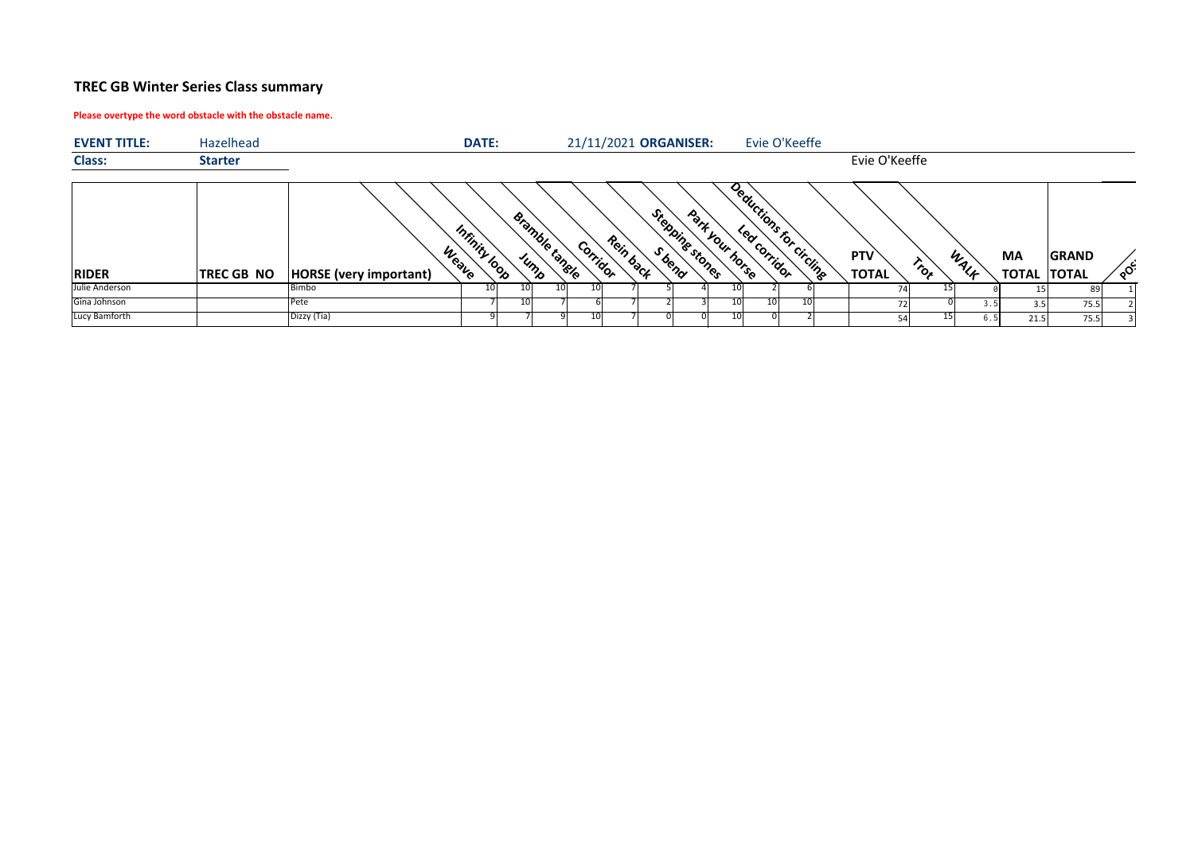### **Please overtype the word obstacle with the obstacle name.**

| <b>EVENT TITLE:</b> | Hazelhead         | <b>DATE:</b>                                            |    |                        |          | 21/11/2021 ORGANISER: |                |                 | Evie O'Keeffe            |                                          |      |                                 |              |          |
|---------------------|-------------------|---------------------------------------------------------|----|------------------------|----------|-----------------------|----------------|-----------------|--------------------------|------------------------------------------|------|---------------------------------|--------------|----------|
| <b>Class:</b>       | <b>Starter</b>    |                                                         |    |                        |          |                       |                |                 |                          | Evie O'Keeffe                            |      |                                 |              |          |
| <b>RIDER</b>        | <b>TREC GB NO</b> | Infinity loop<br>Weave<br><b>HORSE</b> (very important) |    | Bramble tangle<br>JUMP | Corridor | Rein back             | Steppingstones | Park your horse | Deductions for circlinge | PTV<br>$r_{\tilde{o}_k}$<br><b>TOTAL</b> | WALF | <b>MA</b><br><b>TOTAL TOTAL</b> | <b>GRAND</b> | $\sim$ င |
| Julie Anderson      |                   | Bimbo                                                   | Τn |                        |          |                       |                |                 |                          |                                          |      |                                 | 89           |          |
| Gina Johnson        |                   | Pete                                                    |    |                        |          |                       |                | 101             | 10I                      |                                          |      | 3.5                             | 75.5         |          |
| Lucy Bamforth       |                   | Dizzy (Tia)                                             |    |                        |          |                       |                |                 |                          | 54                                       |      | 21.5                            | 75.5         |          |